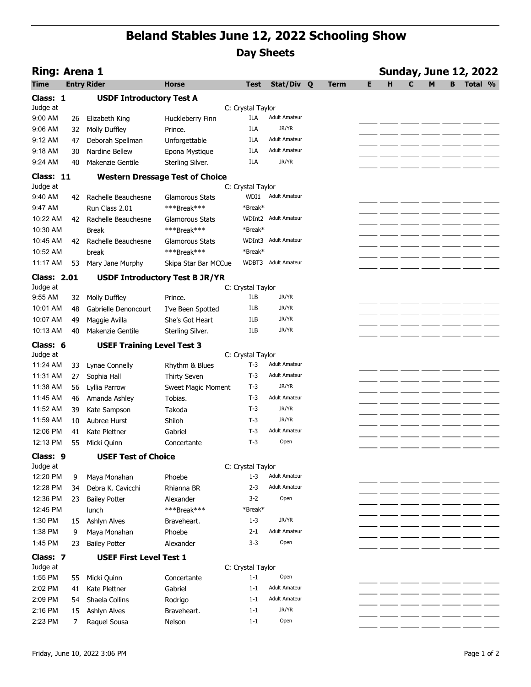## Beland Stables June 12, 2022 Schooling Show Day Sheets

|                                | <b>Beland Stables June 12, 2022 Schooling Show</b><br><b>Day Sheets</b> |                                          |                                        |                              |                      |             |    |   |   |                                   |
|--------------------------------|-------------------------------------------------------------------------|------------------------------------------|----------------------------------------|------------------------------|----------------------|-------------|----|---|---|-----------------------------------|
|                                | <b>Sunday, June 12, 2022</b><br><b>Ring: Arena 1</b>                    |                                          |                                        |                              |                      |             |    |   |   |                                   |
| Time                           |                                                                         | <b>Entry Rider</b>                       | <b>Horse</b>                           | Test                         | Stat/Div Q           | <b>Term</b> | E. | C | M | <b>B</b> Total %                  |
| Class: 1                       |                                                                         | <b>USDF Introductory Test A</b>          |                                        |                              |                      |             |    |   |   |                                   |
| Judge at                       |                                                                         |                                          |                                        | C: Crystal Taylor            |                      |             |    |   |   |                                   |
| 9:00 AM                        |                                                                         | 26 Elizabeth King                        | Huckleberry Finn                       | ILA                          | <b>Adult Amateur</b> |             |    |   |   |                                   |
| 9:06 AM                        |                                                                         | 32 Molly Duffley                         | Prince.                                | ILA                          | JR/YR                |             |    |   |   |                                   |
| 9:12 AM                        | 47                                                                      | Deborah Spellman                         | Unforgettable                          | ILA                          | <b>Adult Amateur</b> |             |    |   |   |                                   |
| 9:18 AM                        | 30                                                                      | Nardine Bellew                           | Epona Mystique                         | ILA                          | <b>Adult Amateur</b> |             |    |   |   |                                   |
| 9:24 AM                        | 40                                                                      | Makenzie Gentile                         | Sterling Silver.                       | ILA                          | JR/YR                |             |    |   |   |                                   |
| Class: 11                      |                                                                         |                                          | <b>Western Dressage Test of Choice</b> |                              |                      |             |    |   |   |                                   |
| Judge at                       |                                                                         |                                          |                                        | C: Crystal Taylor            |                      |             |    |   |   |                                   |
| 9:40 AM                        |                                                                         | 42 Rachelle Beauchesne                   | <b>Glamorous Stats</b>                 |                              | WDI1 Adult Amateur   |             |    |   |   |                                   |
| 9:47 AM<br>10:22 AM            |                                                                         | Run Class 2.01<br>42 Rachelle Beauchesne | ***Break***                            | *Break*<br>WDInt2            | <b>Adult Amateur</b> |             |    |   |   |                                   |
| 10:30 AM                       |                                                                         | <b>Break</b>                             | <b>Glamorous Stats</b><br>***Break***  | *Break*                      |                      |             |    |   |   |                                   |
| 10:45 AM                       |                                                                         | 42 Rachelle Beauchesne                   | Glamorous Stats                        | WDInt3                       | Adult Amateur        |             |    |   |   |                                   |
| 10:52 AM                       |                                                                         | break                                    | ***Break***                            | *Break*                      |                      |             |    |   |   |                                   |
| 11:17 AM                       | 53                                                                      | Mary Jane Murphy                         | Skipa Star Bar MCCue                   |                              | WDBT3 Adult Amateur  |             |    |   |   |                                   |
|                                |                                                                         |                                          |                                        |                              |                      |             |    |   |   |                                   |
| <b>Class: 2.01</b><br>Judge at |                                                                         |                                          | <b>USDF Introductory Test B JR/YR</b>  | C: Crystal Taylor            |                      |             |    |   |   |                                   |
| 9:55 AM                        |                                                                         | 32 Molly Duffley                         | Prince.                                | ILB                          | JR/YR                |             |    |   |   |                                   |
| 10:01 AM                       | 48                                                                      | Gabrielle Denoncourt                     | I've Been Spotted                      | ILB                          | JR/YR                |             |    |   |   |                                   |
| 10:07 AM                       | 49                                                                      | Maggie Avilla                            | She's Got Heart                        | ILB                          | JR/YR                |             |    |   |   |                                   |
| 10:13 AM                       | 40                                                                      | Makenzie Gentile                         | Sterling Silver.                       | ILB                          | JR/YR                |             |    |   |   |                                   |
| Class: 6                       |                                                                         | <b>USEF Training Level Test 3</b>        |                                        |                              |                      |             |    |   |   |                                   |
| Judge at                       |                                                                         |                                          |                                        | C: Crystal Taylor            |                      |             |    |   |   |                                   |
| 11:24 AM                       | 33                                                                      | Lynae Connelly                           | Rhythm & Blues                         | $T-3$                        | <b>Adult Amateur</b> |             |    |   |   |                                   |
| 11:31 AM                       | 27                                                                      | Sophia Hall                              | Thirty Seven                           | $T-3$                        | <b>Adult Amateur</b> |             |    |   |   | __ _____ _____ _____ _____ ______ |
| 11:38 AM                       | 56                                                                      | Lyllia Parrow                            | Sweet Magic Moment                     | T-3                          | JR/YR                |             |    |   |   |                                   |
| 11:45 AM                       |                                                                         | 46 Amanda Ashley                         | Tobias.                                | $T-3$                        | Adult Amateur        |             |    |   |   |                                   |
| 11:52 AM                       | 39                                                                      | Kate Sampson                             | Takoda                                 | $T-3$                        | JR/YR                |             |    |   |   |                                   |
| 11:59 AM                       | 10                                                                      | Aubree Hurst                             | Shiloh                                 | T-3                          | JR/YR                |             |    |   |   |                                   |
| 12:06 PM                       | 41                                                                      | Kate Plettner                            | Gabriel                                | $T-3$                        | <b>Adult Amateur</b> |             |    |   |   |                                   |
| 12:13 PM                       |                                                                         | 55 Micki Quinn                           | Concertante                            | $T-3$                        | Open                 |             |    |   |   |                                   |
| Class: 9                       |                                                                         | <b>USEF Test of Choice</b>               |                                        |                              |                      |             |    |   |   |                                   |
| Judge at                       |                                                                         |                                          |                                        | C: Crystal Taylor            |                      |             |    |   |   |                                   |
| 12:20 PM                       | 9                                                                       | Maya Monahan                             | Phoebe                                 | $1 - 3$                      | Adult Amateur        |             |    |   |   |                                   |
| 12:28 PM                       | 34                                                                      | Debra K. Cavicchi                        | Rhianna BR                             | $2 - 3$                      | <b>Adult Amateur</b> |             |    |   |   |                                   |
| 12:36 PM                       | 23                                                                      | <b>Bailey Potter</b>                     | Alexander                              | $3-2$                        | Open                 |             |    |   |   |                                   |
| 12:45 PM<br>1:30 PM            |                                                                         | lunch                                    | ***Break***                            | *Break*<br>$1 - 3$           | JR/YR                |             |    |   |   |                                   |
| 1:38 PM                        | 9                                                                       | 15 Ashlyn Alves<br>Maya Monahan          | Braveheart.<br>Phoebe                  | $2 - 1$                      | <b>Adult Amateur</b> |             |    |   |   |                                   |
| 1:45 PM                        |                                                                         | 23 Bailey Potter                         | Alexander                              | $3-3$                        | Open                 |             |    |   |   |                                   |
|                                |                                                                         |                                          |                                        |                              |                      |             |    |   |   |                                   |
| Class: 7                       |                                                                         | <b>USEF First Level Test 1</b>           |                                        |                              |                      |             |    |   |   |                                   |
| Judge at<br>1:55 PM            |                                                                         | 55 Micki Quinn                           | Concertante                            | C: Crystal Taylor<br>$1 - 1$ | Open                 |             |    |   |   |                                   |
| 2:02 PM                        |                                                                         | 41 Kate Plettner                         | Gabriel                                | $1 - 1$                      | <b>Adult Amateur</b> |             |    |   |   |                                   |
| 2:09 PM                        |                                                                         | 54 Shaela Collins                        | Rodrigo                                | $1 - 1$                      | <b>Adult Amateur</b> |             |    |   |   |                                   |
| 2:16 PM                        |                                                                         | 15 Ashlyn Alves                          | Braveheart.                            | $1 - 1$                      | JR/YR                |             |    |   |   |                                   |
| 2:23 PM                        |                                                                         |                                          |                                        | $1 - 1$                      | Open                 |             |    |   |   |                                   |
|                                | $\overline{7}$                                                          | Raquel Sousa                             | Nelson                                 |                              |                      |             |    |   |   |                                   |